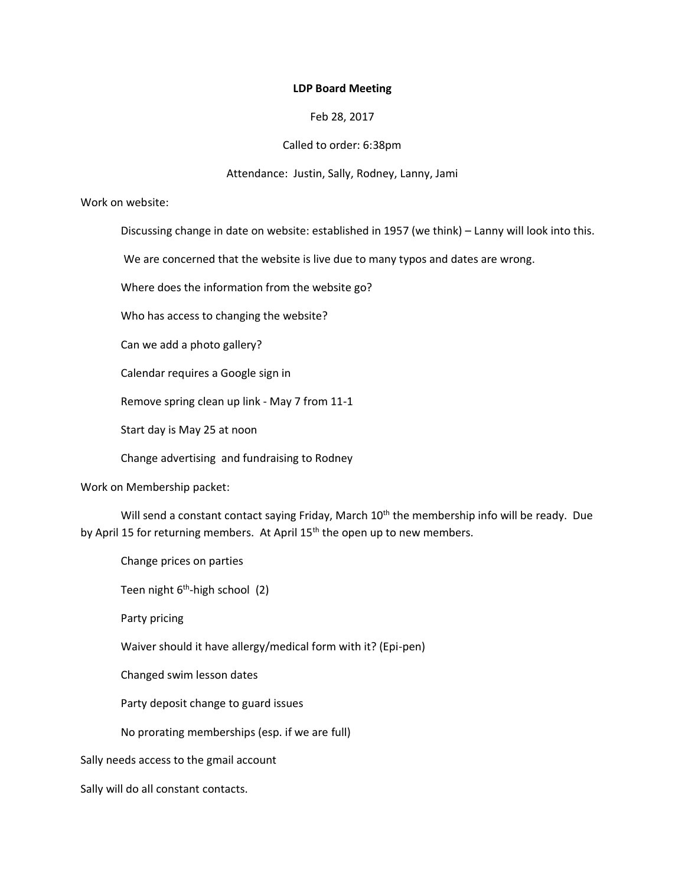#### **LDP Board Meeting**

## Feb 28, 2017

### Called to order: 6:38pm

#### Attendance: Justin, Sally, Rodney, Lanny, Jami

#### Work on website:

Discussing change in date on website: established in 1957 (we think) – Lanny will look into this.

We are concerned that the website is live due to many typos and dates are wrong.

Where does the information from the website go?

Who has access to changing the website?

Can we add a photo gallery?

Calendar requires a Google sign in

Remove spring clean up link - May 7 from 11-1

Start day is May 25 at noon

Change advertising and fundraising to Rodney

Work on Membership packet:

Will send a constant contact saying Friday, March 10<sup>th</sup> the membership info will be ready. Due by April 15 for returning members. At April 15<sup>th</sup> the open up to new members.

Change prices on parties

Teen night 6<sup>th</sup>-high school (2)

Party pricing

Waiver should it have allergy/medical form with it? (Epi-pen)

Changed swim lesson dates

Party deposit change to guard issues

No prorating memberships (esp. if we are full)

Sally needs access to the gmail account

Sally will do all constant contacts.